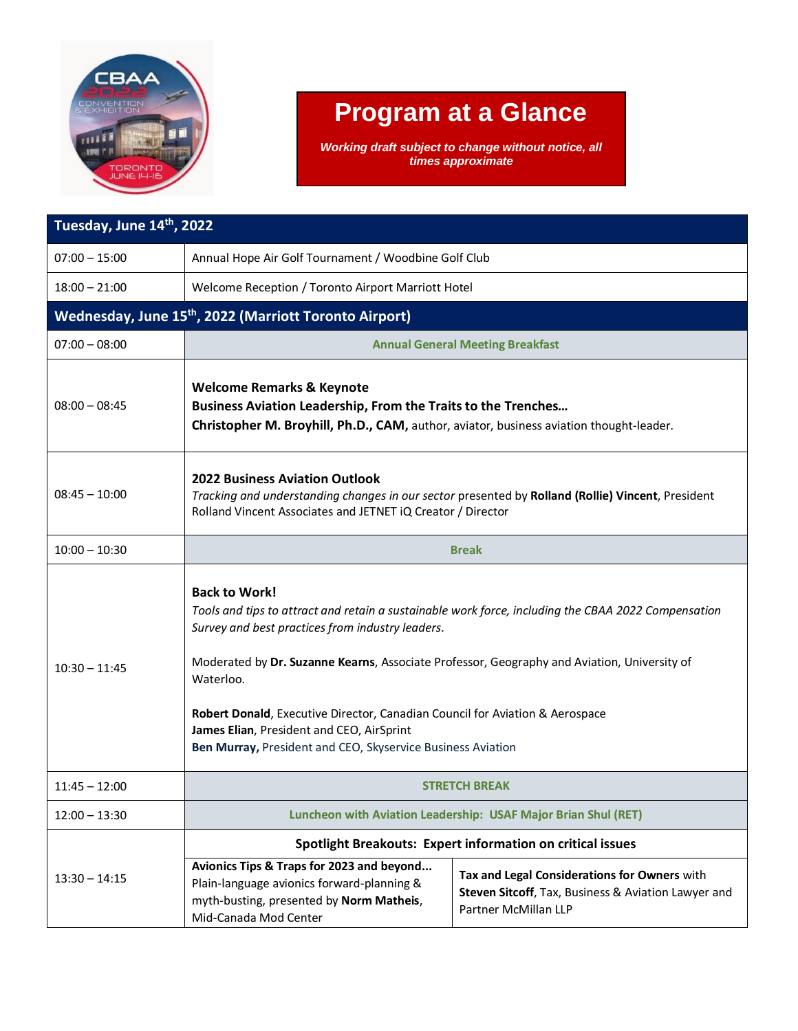

## **Program at a Glance**

*Working draft subject to change without notice, all times approximate*

| Tuesday, June 14th, 2022                                     |                                                                                                                                                                                                                                                                                                                                                                                                                                                                                         |                                                                                                                             |  |
|--------------------------------------------------------------|-----------------------------------------------------------------------------------------------------------------------------------------------------------------------------------------------------------------------------------------------------------------------------------------------------------------------------------------------------------------------------------------------------------------------------------------------------------------------------------------|-----------------------------------------------------------------------------------------------------------------------------|--|
| $07:00 - 15:00$                                              | Annual Hope Air Golf Tournament / Woodbine Golf Club                                                                                                                                                                                                                                                                                                                                                                                                                                    |                                                                                                                             |  |
| $18:00 - 21:00$                                              | Welcome Reception / Toronto Airport Marriott Hotel                                                                                                                                                                                                                                                                                                                                                                                                                                      |                                                                                                                             |  |
| <b>Wednesday, June 15th, 2022 (Marriott Toronto Airport)</b> |                                                                                                                                                                                                                                                                                                                                                                                                                                                                                         |                                                                                                                             |  |
| $07:00 - 08:00$                                              | <b>Annual General Meeting Breakfast</b>                                                                                                                                                                                                                                                                                                                                                                                                                                                 |                                                                                                                             |  |
| $08:00 - 08:45$                                              | <b>Welcome Remarks &amp; Keynote</b><br>Business Aviation Leadership, From the Traits to the Trenches<br>Christopher M. Broyhill, Ph.D., CAM, author, aviator, business aviation thought-leader.                                                                                                                                                                                                                                                                                        |                                                                                                                             |  |
| $08:45 - 10:00$                                              | <b>2022 Business Aviation Outlook</b><br>Tracking and understanding changes in our sector presented by Rolland (Rollie) Vincent, President<br>Rolland Vincent Associates and JETNET IQ Creator / Director                                                                                                                                                                                                                                                                               |                                                                                                                             |  |
| $10:00 - 10:30$                                              | <b>Break</b>                                                                                                                                                                                                                                                                                                                                                                                                                                                                            |                                                                                                                             |  |
| $10:30 - 11:45$                                              | <b>Back to Work!</b><br>Tools and tips to attract and retain a sustainable work force, including the CBAA 2022 Compensation<br>Survey and best practices from industry leaders.<br>Moderated by Dr. Suzanne Kearns, Associate Professor, Geography and Aviation, University of<br>Waterloo.<br>Robert Donald, Executive Director, Canadian Council for Aviation & Aerospace<br>James Elian, President and CEO, AirSprint<br>Ben Murray, President and CEO, Skyservice Business Aviation |                                                                                                                             |  |
| $11:45 - 12:00$                                              | <b>STRETCH BREAK</b>                                                                                                                                                                                                                                                                                                                                                                                                                                                                    |                                                                                                                             |  |
| $12:00 - 13:30$                                              | Luncheon with Aviation Leadership: USAF Major Brian Shul (RET)                                                                                                                                                                                                                                                                                                                                                                                                                          |                                                                                                                             |  |
| $13:30 - 14:15$                                              | <b>Spotlight Breakouts: Expert information on critical issues</b>                                                                                                                                                                                                                                                                                                                                                                                                                       |                                                                                                                             |  |
|                                                              | Avionics Tips & Traps for 2023 and beyond<br>Plain-language avionics forward-planning &<br>myth-busting, presented by Norm Matheis,<br>Mid-Canada Mod Center                                                                                                                                                                                                                                                                                                                            | Tax and Legal Considerations for Owners with<br>Steven Sitcoff, Tax, Business & Aviation Lawyer and<br>Partner McMillan LLP |  |